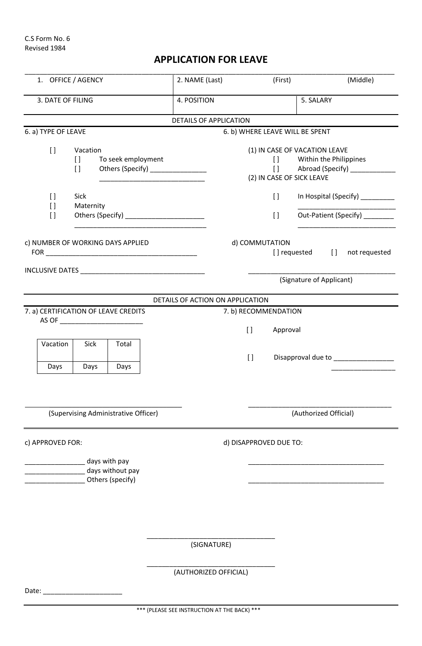Date: \_\_\_\_\_\_\_\_\_\_\_\_\_\_\_\_\_\_\_\_\_

## **APPLICATION FOR LEAVE**

| 1. OFFICE / AGENCY                                           |                                                              |                                                                | 2. NAME (Last)                   | (First)                                                            | (Middle)                                                                                      |
|--------------------------------------------------------------|--------------------------------------------------------------|----------------------------------------------------------------|----------------------------------|--------------------------------------------------------------------|-----------------------------------------------------------------------------------------------|
| 3. DATE OF FILING                                            |                                                              |                                                                | 4. POSITION                      |                                                                    | 5. SALARY                                                                                     |
|                                                              |                                                              |                                                                | <b>DETAILS OF APPLICATION</b>    |                                                                    |                                                                                               |
| 6. a) TYPE OF LEAVE                                          |                                                              |                                                                |                                  | 6. b) WHERE LEAVE WILL BE SPENT                                    |                                                                                               |
| $[ \ ]$                                                      | Vacation<br>$\Box$<br>$\begin{array}{c} \square \end{array}$ | To seek employment<br>Others (Specify) _______________         |                                  | (2) IN CASE OF SICK LEAVE                                          | (1) IN CASE OF VACATION LEAVE<br>[] Within the Philippines<br>[] Abroad (Specify) ___________ |
| $\begin{array}{c} \square \end{array}$<br>$[ \ ]$<br>$[ \ ]$ | Sick<br>Maternity                                            | Others (Specify) <b>Container and Container and Containers</b> |                                  | $\begin{bmatrix} 1 \end{bmatrix}$<br>$\left[\right]$               | In Hospital (Specify) _________<br>Out-Patient (Specify)                                      |
| c) NUMBER OF WORKING DAYS APPLIED                            |                                                              |                                                                |                                  | d) COMMUTATION                                                     | [] requested [] not requested                                                                 |
|                                                              |                                                              |                                                                |                                  | (Signature of Applicant)                                           |                                                                                               |
|                                                              |                                                              |                                                                | DETAILS OF ACTION ON APPLICATION |                                                                    |                                                                                               |
| Vacation                                                     | Sick                                                         | 7. a) CERTIFICATION OF LEAVE CREDITS<br>Total                  |                                  | 7. b) RECOMMENDATION<br>$\begin{array}{c} \end{array}$<br>Approval |                                                                                               |
| Days                                                         | Days                                                         | Days                                                           |                                  | $\left[\right]$                                                    | Disapproval due to __________________                                                         |
| (Supervising Administrative Officer)                         |                                                              |                                                                |                                  |                                                                    | (Authorized Official)                                                                         |
| c) APPROVED FOR:                                             |                                                              |                                                                |                                  | d) DISAPPROVED DUE TO:                                             |                                                                                               |
|                                                              |                                                              | days with pay<br>days without pay<br>Others (specify)          |                                  |                                                                    |                                                                                               |
|                                                              |                                                              |                                                                | (SIGNATURE)                      |                                                                    |                                                                                               |
|                                                              |                                                              |                                                                | (AUTHORIZED OFFICIAL)            |                                                                    |                                                                                               |

\*\*\* (PLEASE SEE INSTRUCTION AT THE BACK) \*\*\*